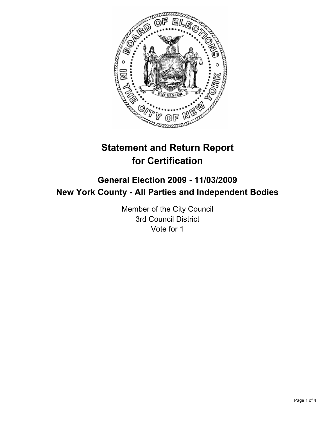

# **Statement and Return Report for Certification**

# **General Election 2009 - 11/03/2009 New York County - All Parties and Independent Bodies**

Member of the City Council 3rd Council District Vote for 1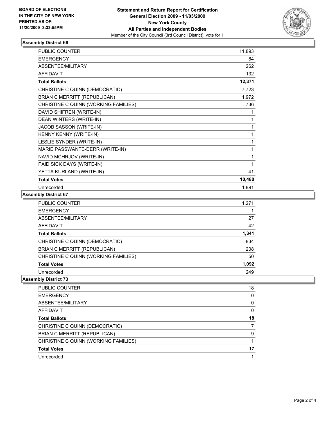

#### **Assembly District 66**

| <b>PUBLIC COUNTER</b>                | 11,893 |
|--------------------------------------|--------|
| <b>EMERGENCY</b>                     | 84     |
| <b>ABSENTEE/MILITARY</b>             | 262    |
| <b>AFFIDAVIT</b>                     | 132    |
| <b>Total Ballots</b>                 | 12,371 |
| CHRISTINE C QUINN (DEMOCRATIC)       | 7,723  |
| BRIAN C MERRITT (REPUBLICAN)         | 1,972  |
| CHRISTINE C QUINN (WORKING FAMILIES) | 736    |
| DAVID SHIFREN (WRITE-IN)             | 1      |
| DEAN WINTERS (WRITE-IN)              | 1      |
| JACOB SASSON (WRITE-IN)              | 1      |
| KENNY KENNY (WRITE-IN)               | 1      |
| LESLIE SYNDER (WRITE-IN)             | 1      |
| MARIE PASSWANTE-DERR (WRITE-IN)      | 1      |
| NAVID MCHRJOV (WRITE-IN)             | 1      |
| PAID SICK DAYS (WRITE-IN)            | 1      |
| YETTA KURLAND (WRITE-IN)             | 41     |
| <b>Total Votes</b>                   | 10,480 |
| Unrecorded                           | 1,891  |

## **Assembly District 67**

| <b>PUBLIC COUNTER</b>                | 1,271 |
|--------------------------------------|-------|
| <b>EMERGENCY</b>                     |       |
| ABSENTEE/MILITARY                    | 27    |
| AFFIDAVIT                            | 42    |
| <b>Total Ballots</b>                 | 1,341 |
| CHRISTINE C QUINN (DEMOCRATIC)       | 834   |
| BRIAN C MERRITT (REPUBLICAN)         | 208   |
| CHRISTINE C QUINN (WORKING FAMILIES) | 50    |
| <b>Total Votes</b>                   | 1.092 |
| Unrecorded                           | 249   |

## **Assembly District 73**

| PUBLIC COUNTER                       | 18 |
|--------------------------------------|----|
| <b>EMERGENCY</b>                     | 0  |
| ABSENTEE/MILITARY                    | 0  |
| AFFIDAVIT                            | 0  |
| <b>Total Ballots</b>                 | 18 |
| CHRISTINE C QUINN (DEMOCRATIC)       |    |
| BRIAN C MERRITT (REPUBLICAN)         | 9  |
| CHRISTINE C QUINN (WORKING FAMILIES) |    |
| <b>Total Votes</b>                   | 17 |
| Unrecorded                           |    |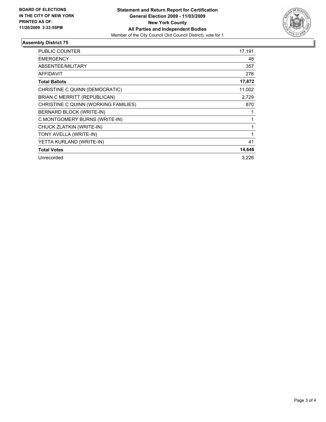

## **Assembly District 75**

| PUBLIC COUNTER                       | 17,191 |
|--------------------------------------|--------|
| <b>EMERGENCY</b>                     | 48     |
| <b>ABSENTEE/MILITARY</b>             | 357    |
| <b>AFFIDAVIT</b>                     | 276    |
| <b>Total Ballots</b>                 | 17,872 |
| CHRISTINE C QUINN (DEMOCRATIC)       | 11,002 |
| BRIAN C MERRITT (REPUBLICAN)         | 2,729  |
| CHRISTINE C QUINN (WORKING FAMILIES) | 870    |
| BERNARD BLOCK (WRITE-IN)             |        |
| C MONTGOMERY BURNS (WRITE-IN)        | 1      |
| CHUCK ZLATKIN (WRITE-IN)             |        |
| TONY AVELLA (WRITE-IN)               | 1      |
| YETTA KURLAND (WRITE-IN)             | 41     |
| <b>Total Votes</b>                   | 14,646 |
| Unrecorded                           | 3,226  |